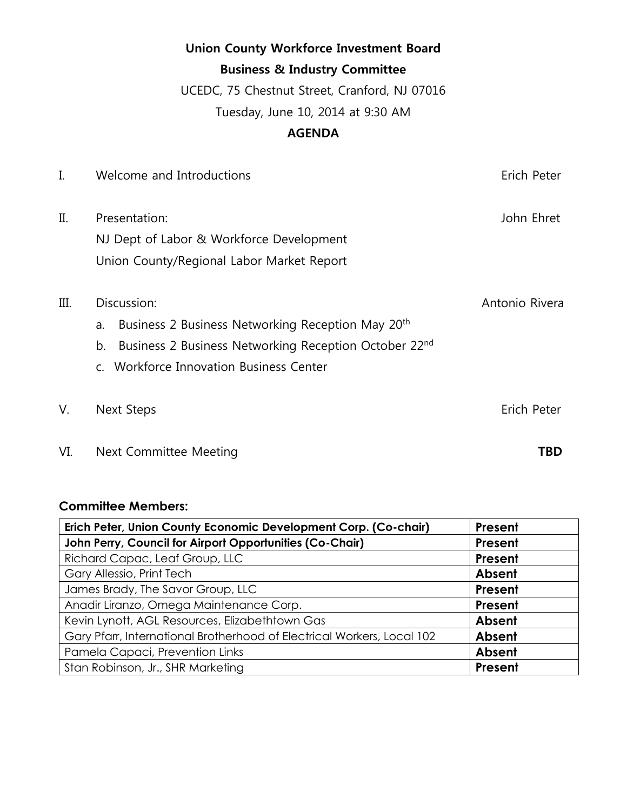|         | <b>Union County Workforce Investment Board</b>                      |                |
|---------|---------------------------------------------------------------------|----------------|
|         | <b>Business &amp; Industry Committee</b>                            |                |
|         | UCEDC, 75 Chestnut Street, Cranford, NJ 07016                       |                |
|         | Tuesday, June 10, 2014 at 9:30 AM                                   |                |
|         | <b>AGENDA</b>                                                       |                |
| I.      | Welcome and Introductions                                           | Erich Peter    |
| $\prod$ | Presentation:                                                       | John Ehret     |
|         | NJ Dept of Labor & Workforce Development                            |                |
|         | Union County/Regional Labor Market Report                           |                |
| Ш.      | Discussion:                                                         | Antonio Rivera |
|         | Business 2 Business Networking Reception May 20 <sup>th</sup><br>a. |                |
|         | Business 2 Business Networking Reception October 22nd<br>b.         |                |
|         | Workforce Innovation Business Center<br>$C_{1}$                     |                |
| V.      | Next Steps                                                          | Erich Peter    |

VI. Next Committee Meeting **TBD**

# **Committee Members:**

| Erich Peter, Union County Economic Development Corp. (Co-chair)        | Present |
|------------------------------------------------------------------------|---------|
| John Perry, Council for Airport Opportunities (Co-Chair)               | Present |
| Richard Capac, Leaf Group, LLC                                         | Present |
| Gary Allessio, Print Tech                                              | Absent  |
| James Brady, The Savor Group, LLC                                      | Present |
| Anadir Liranzo, Omega Maintenance Corp.                                | Present |
| Kevin Lynott, AGL Resources, Elizabethtown Gas                         | Absent  |
| Gary Pfarr, International Brotherhood of Electrical Workers, Local 102 | Absent  |
| Pamela Capaci, Prevention Links                                        | Absent  |
| Stan Robinson, Jr., SHR Marketing                                      | Present |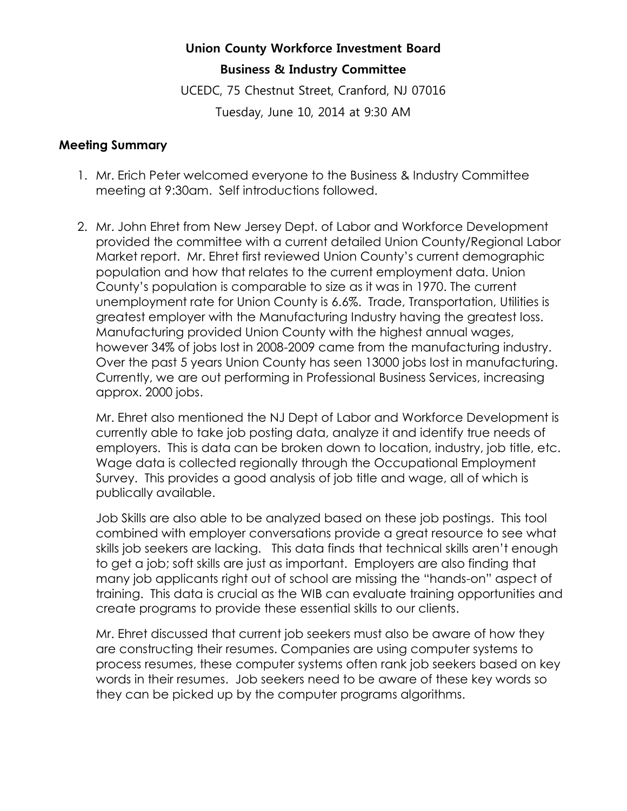## **Union County Workforce Investment Board**

### **Business & Industry Committee**

UCEDC, 75 Chestnut Street, Cranford, NJ 07016 Tuesday, June 10, 2014 at 9:30 AM

#### **Meeting Summary**

- 1. Mr. Erich Peter welcomed everyone to the Business & Industry Committee meeting at 9:30am. Self introductions followed.
- 2. Mr. John Ehret from New Jersey Dept. of Labor and Workforce Development provided the committee with a current detailed Union County/Regional Labor Market report. Mr. Ehret first reviewed Union County's current demographic population and how that relates to the current employment data. Union County's population is comparable to size as it was in 1970. The current unemployment rate for Union County is 6.6%. Trade, Transportation, Utilities is greatest employer with the Manufacturing Industry having the greatest loss. Manufacturing provided Union County with the highest annual wages, however 34% of jobs lost in 2008-2009 came from the manufacturing industry. Over the past 5 years Union County has seen 13000 jobs lost in manufacturing. Currently, we are out performing in Professional Business Services, increasing approx. 2000 jobs.

Mr. Ehret also mentioned the NJ Dept of Labor and Workforce Development is currently able to take job posting data, analyze it and identify true needs of employers. This is data can be broken down to location, industry, job title, etc. Wage data is collected regionally through the Occupational Employment Survey. This provides a good analysis of job title and wage, all of which is publically available.

Job Skills are also able to be analyzed based on these job postings. This tool combined with employer conversations provide a great resource to see what skills job seekers are lacking. This data finds that technical skills aren't enough to get a job; soft skills are just as important. Employers are also finding that many job applicants right out of school are missing the "hands-on" aspect of training. This data is crucial as the WIB can evaluate training opportunities and create programs to provide these essential skills to our clients.

Mr. Ehret discussed that current job seekers must also be aware of how they are constructing their resumes. Companies are using computer systems to process resumes, these computer systems often rank job seekers based on key words in their resumes. Job seekers need to be aware of these key words so they can be picked up by the computer programs algorithms.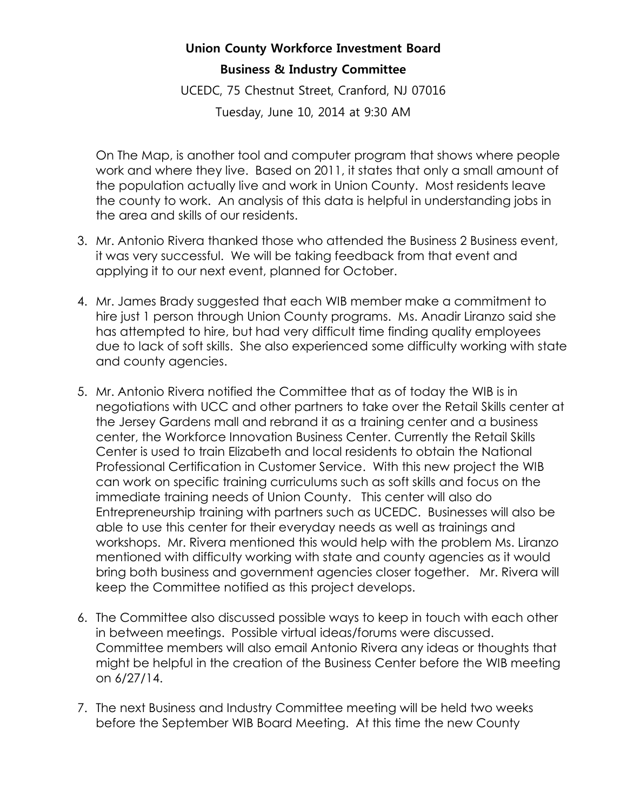## **Union County Workforce Investment Board**

## **Business & Industry Committee**

UCEDC, 75 Chestnut Street, Cranford, NJ 07016

Tuesday, June 10, 2014 at 9:30 AM

On The Map, is another tool and computer program that shows where people work and where they live. Based on 2011, it states that only a small amount of the population actually live and work in Union County. Most residents leave the county to work. An analysis of this data is helpful in understanding jobs in the area and skills of our residents.

- 3. Mr. Antonio Rivera thanked those who attended the Business 2 Business event, it was very successful. We will be taking feedback from that event and applying it to our next event, planned for October.
- 4. Mr. James Brady suggested that each WIB member make a commitment to hire just 1 person through Union County programs. Ms. Anadir Liranzo said she has attempted to hire, but had very difficult time finding quality employees due to lack of soft skills. She also experienced some difficulty working with state and county agencies.
- 5. Mr. Antonio Rivera notified the Committee that as of today the WIB is in negotiations with UCC and other partners to take over the Retail Skills center at the Jersey Gardens mall and rebrand it as a training center and a business center, the Workforce Innovation Business Center. Currently the Retail Skills Center is used to train Elizabeth and local residents to obtain the National Professional Certification in Customer Service. With this new project the WIB can work on specific training curriculums such as soft skills and focus on the immediate training needs of Union County. This center will also do Entrepreneurship training with partners such as UCEDC. Businesses will also be able to use this center for their everyday needs as well as trainings and workshops. Mr. Rivera mentioned this would help with the problem Ms. Liranzo mentioned with difficulty working with state and county agencies as it would bring both business and government agencies closer together. Mr. Rivera will keep the Committee notified as this project develops.
- 6. The Committee also discussed possible ways to keep in touch with each other in between meetings. Possible virtual ideas/forums were discussed. Committee members will also email Antonio Rivera any ideas or thoughts that might be helpful in the creation of the Business Center before the WIB meeting on 6/27/14.
- 7. The next Business and Industry Committee meeting will be held two weeks before the September WIB Board Meeting. At this time the new County